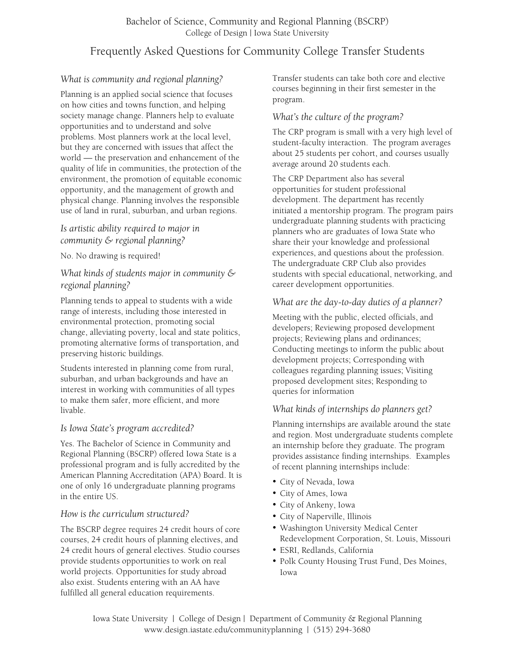# Frequently Asked Questions for Community College Transfer Students

## *What is community and regional planning?*

Planning is an applied social science that focuses on how cities and towns function, and helping society manage change. Planners help to evaluate opportunities and to understand and solve problems. Most planners work at the local level, but they are concerned with issues that affect the world — the preservation and enhancement of the quality of life in communities, the protection of the environment, the promotion of equitable economic opportunity, and the management of growth and physical change. Planning involves the responsible use of land in rural, suburban, and urban regions.

## *Is artistic ability required to major in community & regional planning?*

No. No drawing is required!

## *What kinds of students major in community & regional planning?*

Planning tends to appeal to students with a wide range of interests, including those interested in environmental protection, promoting social change, alleviating poverty, local and state politics, promoting alternative forms of transportation, and preserving historic buildings.

Students interested in planning come from rural, suburban, and urban backgrounds and have an interest in working with communities of all types to make them safer, more efficient, and more livable.

## *Is Iowa State's program accredited?*

Yes. The Bachelor of Science in Community and Regional Planning (BSCRP) offered Iowa State is a professional program and is fully accredited by the American Planning Accreditation (APA) Board. It is one of only 16 undergraduate planning programs in the entire US.

## *How is the curriculum structured?*

The BSCRP degree requires 24 credit hours of core courses, 24 credit hours of planning electives, and 24 credit hours of general electives. Studio courses provide students opportunities to work on real world projects. Opportunities for study abroad also exist. Students entering with an AA have fulfilled all general education requirements.

Transfer students can take both core and elective courses beginning in their first semester in the program.

### *What's the culture of the program?*

The CRP program is small with a very high level of student-faculty interaction. The program averages about 25 students per cohort, and courses usually average around 20 students each.

The CRP Department also has several opportunities for student professional development. The department has recently initiated a mentorship program. The program pairs undergraduate planning students with practicing planners who are graduates of Iowa State who share their your knowledge and professional experiences, and questions about the profession. The undergraduate CRP Club also provides students with special educational, networking, and career development opportunities.

#### *What are the day-to-day duties of a planner?*

Meeting with the public, elected officials, and developers; Reviewing proposed development projects; Reviewing plans and ordinances; Conducting meetings to inform the public about development projects; Corresponding with colleagues regarding planning issues; Visiting proposed development sites; Responding to queries for information

## *What kinds of internships do planners get?*

Planning internships are available around the state and region. Most undergraduate students complete an internship before they graduate. The program provides assistance finding internships. Examples of recent planning internships include:

- City of Nevada, Iowa
- City of Ames, Iowa
- City of Ankeny, Iowa
- City of Naperville, Illinois
- Washington University Medical Center Redevelopment Corporation, St. Louis, Missouri
- ESRI, Redlands, California
- Polk County Housing Trust Fund, Des Moines, Iowa

Iowa State University | College of Design | Department of Community & Regional Planning www.design.iastate.edu/communityplanning | (515) 294-3680